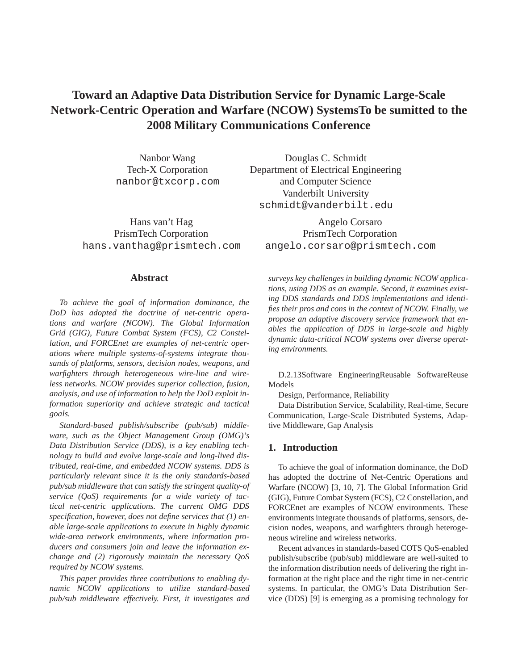# **Toward an Adaptive Data Distribution Service for Dynamic Large-Scale Network-Centric Operation and Warfare (NCOW) SystemsTo be sumitted to the 2008 Military Communications Conference**

Nanbor Wang Tech-X Corporation nanbor@txcorp.com

Hans van't Hag PrismTech Corporation hans.vanthag@prismtech.com

#### **Abstract**

*To achieve the goal of information dominance, the DoD has adopted the doctrine of net-centric operations and warfare (NCOW). The Global Information Grid (GIG), Future Combat System (FCS), C2 Constellation, and FORCEnet are examples of net-centric operations where multiple systems-of-systems integrate thousands of platforms, sensors, decision nodes, weapons, and warfighters through heterogeneous wire-line and wireless networks. NCOW provides superior collection, fusion, analysis, and use of information to help the DoD exploit information superiority and achieve strategic and tactical goals.*

*Standard-based publish/subscribe (pub/sub) middleware, such as the Object Management Group (OMG)'s Data Distribution Service (DDS), is a key enabling technology to build and evolve large-scale and long-lived distributed, real-time, and embedded NCOW systems. DDS is particularly relevant since it is the only standards-based pub/sub middleware that can satisfy the stringent quality-of service (QoS) requirements for a wide variety of tactical net-centric applications. The current OMG DDS specification, however, does not define services that (1) enable large-scale applications to execute in highly dynamic wide-area network environments, where information producers and consumers join and leave the information exchange and (2) rigorously maintain the necessary QoS required by NCOW systems.*

*This paper provides three contributions to enabling dynamic NCOW applications to utilize standard-based pub/sub middleware effectively. First, it investigates and*

Douglas C. Schmidt Department of Electrical Engineering and Computer Science Vanderbilt University schmidt@vanderbilt.edu

Angelo Corsaro PrismTech Corporation angelo.corsaro@prismtech.com

*surveys key challenges in building dynamic NCOW applications, using DDS as an example. Second, it examines existing DDS standards and DDS implementations and identifies their pros and cons in the context of NCOW. Finally, we propose an adaptive discovery service framework that enables the application of DDS in large-scale and highly dynamic data-critical NCOW systems over diverse operating environments.*

D.2.13Software EngineeringReusable SoftwareReuse Models

Design, Performance, Reliability

Data Distribution Service, Scalability, Real-time, Secure Communication, Large-Scale Distributed Systems, Adaptive Middleware, Gap Analysis

### **1. Introduction**

To achieve the goal of information dominance, the DoD has adopted the doctrine of Net-Centric Operations and Warfare (NCOW) [3, 10, 7]. The Global Information Grid (GIG), Future Combat System (FCS), C2 Constellation, and FORCEnet are examples of NCOW environments. These environments integrate thousands of platforms, sensors, decision nodes, weapons, and warfighters through heterogeneous wireline and wireless networks.

Recent advances in standards-based COTS QoS-enabled publish/subscribe (pub/sub) middleware are well-suited to the information distribution needs of delivering the right information at the right place and the right time in net-centric systems. In particular, the OMG's Data Distribution Service (DDS) [9] is emerging as a promising technology for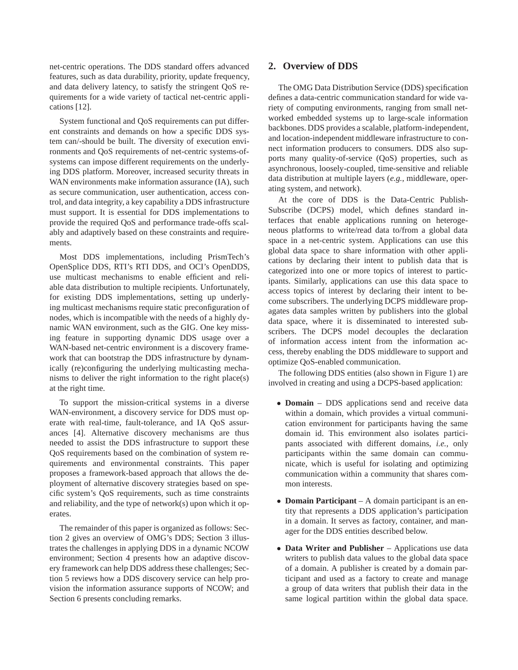net-centric operations. The DDS standard offers advanced features, such as data durability, priority, update frequency, and data delivery latency, to satisfy the stringent QoS requirements for a wide variety of tactical net-centric applications [12].

System functional and QoS requirements can put different constraints and demands on how a specific DDS system can/-should be built. The diversity of execution environments and QoS requirements of net-centric systems-ofsystems can impose different requirements on the underlying DDS platform. Moreover, increased security threats in WAN environments make information assurance (IA), such as secure communication, user authentication, access control, and data integrity, a key capability a DDS infrastructure must support. It is essential for DDS implementations to provide the required QoS and performance trade-offs scalably and adaptively based on these constraints and requirements.

Most DDS implementations, including PrismTech's OpenSplice DDS, RTI's RTI DDS, and OCI's OpenDDS, use multicast mechanisms to enable efficient and reliable data distribution to multiple recipients. Unfortunately, for existing DDS implementations, setting up underlying multicast mechanisms require static preconfiguration of nodes, which is incompatible with the needs of a highly dynamic WAN environment, such as the GIG. One key missing feature in supporting dynamic DDS usage over a WAN-based net-centric environment is a discovery framework that can bootstrap the DDS infrastructure by dynamically (re)configuring the underlying multicasting mechanisms to deliver the right information to the right place(s) at the right time.

To support the mission-critical systems in a diverse WAN-environment, a discovery service for DDS must operate with real-time, fault-tolerance, and IA QoS assurances [4]. Alternative discovery mechanisms are thus needed to assist the DDS infrastructure to support these QoS requirements based on the combination of system requirements and environmental constraints. This paper proposes a framework-based approach that allows the deployment of alternative discovery strategies based on specific system's QoS requirements, such as time constraints and reliability, and the type of network(s) upon which it operates.

The remainder of this paper is organized as follows: Section 2 gives an overview of OMG's DDS; Section 3 illustrates the challenges in applying DDS in a dynamic NCOW environment; Section 4 presents how an adaptive discovery framework can help DDS address these challenges; Section 5 reviews how a DDS discovery service can help provision the information assurance supports of NCOW; and Section 6 presents concluding remarks.

## **2. Overview of DDS**

The OMG Data Distribution Service (DDS) specification defines a data-centric communication standard for wide variety of computing environments, ranging from small networked embedded systems up to large-scale information backbones. DDS provides a scalable, platform-independent, and location-independent middleware infrastructure to connect information producers to consumers. DDS also supports many quality-of-service (QoS) properties, such as asynchronous, loosely-coupled, time-sensitive and reliable data distribution at multiple layers (*e.g.*, middleware, operating system, and network).

At the core of DDS is the Data-Centric Publish-Subscribe (DCPS) model, which defines standard interfaces that enable applications running on heterogeneous platforms to write/read data to/from a global data space in a net-centric system. Applications can use this global data space to share information with other applications by declaring their intent to publish data that is categorized into one or more topics of interest to participants. Similarly, applications can use this data space to access topics of interest by declaring their intent to become subscribers. The underlying DCPS middleware propagates data samples written by publishers into the global data space, where it is disseminated to interested subscribers. The DCPS model decouples the declaration of information access intent from the information access, thereby enabling the DDS middleware to support and optimize QoS-enabled communication.

The following DDS entities (also shown in Figure 1) are involved in creating and using a DCPS-based application:

- **Domain** DDS applications send and receive data within a domain, which provides a virtual communication environment for participants having the same domain id. This environment also isolates participants associated with different domains, *i.e.*, only participants within the same domain can communicate, which is useful for isolating and optimizing communication within a community that shares common interests.
- **Domain Participant** A domain participant is an entity that represents a DDS application's participation in a domain. It serves as factory, container, and manager for the DDS entities described below.
- **Data Writer and Publisher** Applications use data writers to publish data values to the global data space of a domain. A publisher is created by a domain participant and used as a factory to create and manage a group of data writers that publish their data in the same logical partition within the global data space.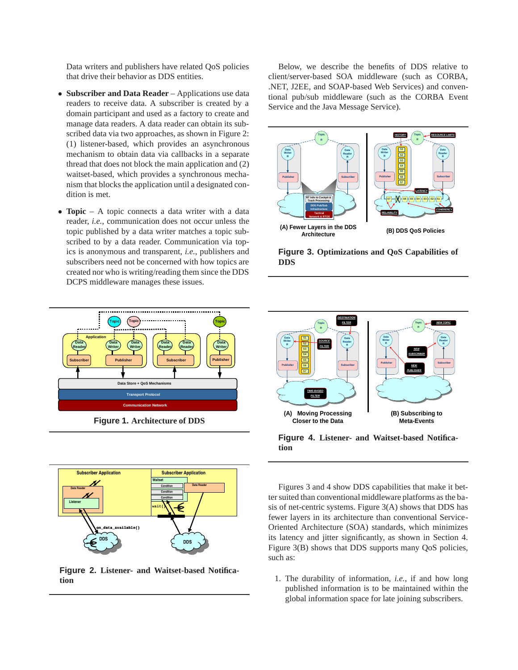Data writers and publishers have related QoS policies that drive their behavior as DDS entities.

- **Subscriber and Data Reader** Applications use data readers to receive data. A subscriber is created by a domain participant and used as a factory to create and manage data readers. A data reader can obtain its subscribed data via two approaches, as shown in Figure 2: (1) listener-based, which provides an asynchronous mechanism to obtain data via callbacks in a separate thread that does not block the main application and (2) waitset-based, which provides a synchronous mechanism that blocks the application until a designated condition is met.
- **Topic** A topic connects a data writer with a data reader, *i.e.*, communication does not occur unless the topic published by a data writer matches a topic subscribed to by a data reader. Communication via topics is anonymous and transparent, *i.e.*, publishers and subscribers need not be concerned with how topics are created nor who is writing/reading them since the DDS DCPS middleware manages these issues.



**Figure 1. Architecture of DDS**



**Figure 2. Listener- and Waitset-based Notification**

Below, we describe the benefits of DDS relative to client/server-based SOA middleware (such as CORBA, .NET, J2EE, and SOAP-based Web Services) and conventional pub/sub middleware (such as the CORBA Event Service and the Java Message Service).



**Figure 3. Optimizations and QoS Capabilities of DDS**



**Figure 4. Listener- and Waitset-based Notification**

Figures 3 and 4 show DDS capabilities that make it better suited than conventional middleware platforms as the basis of net-centric systems. Figure  $3(A)$  shows that DDS has fewer layers in its architecture than conventional Service-Oriented Architecture (SOA) standards, which minimizes its latency and jitter significantly, as shown in Section 4. Figure 3(B) shows that DDS supports many QoS policies, such as:

1. The durability of information, *i.e.*, if and how long published information is to be maintained within the global information space for late joining subscribers.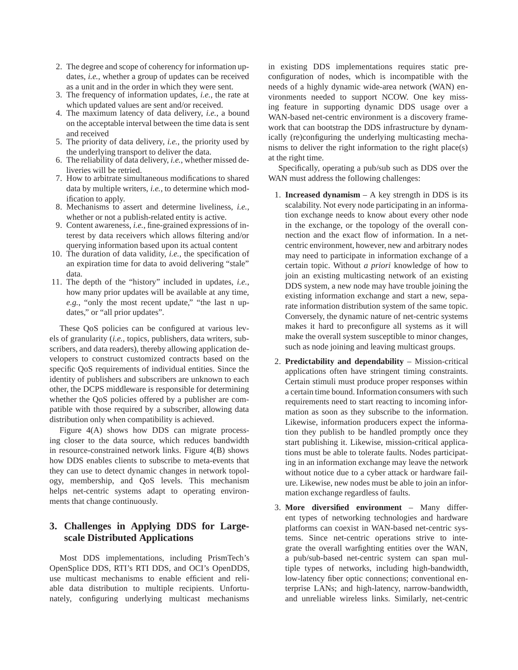- 2. The degree and scope of coherency for information updates, *i.e.*, whether a group of updates can be received as a unit and in the order in which they were sent.
- 3. The frequency of information updates, *i.e.*, the rate at which updated values are sent and/or received.
- 4. The maximum latency of data delivery, *i.e.*, a bound on the acceptable interval between the time data is sent and received
- 5. The priority of data delivery, *i.e.*, the priority used by the underlying transport to deliver the data.
- 6. The reliability of data delivery, *i.e.*, whether missed deliveries will be retried.
- 7. How to arbitrate simultaneous modifications to shared data by multiple writers, *i.e.*, to determine which modification to apply.
- 8. Mechanisms to assert and determine liveliness, *i.e.*, whether or not a publish-related entity is active.
- 9. Content awareness, *i.e.*, fine-grained expressions of interest by data receivers which allows filtering and/or querying information based upon its actual content
- 10. The duration of data validity, *i.e.*, the specification of an expiration time for data to avoid delivering "stale" data.
- 11. The depth of the "history" included in updates, *i.e.*, how many prior updates will be available at any time, *e.g.*, "only the most recent update," "the last n updates," or "all prior updates".

These QoS policies can be configured at various levels of granularity (*i.e.*, topics, publishers, data writers, subscribers, and data readers), thereby allowing application developers to construct customized contracts based on the specific QoS requirements of individual entities. Since the identity of publishers and subscribers are unknown to each other, the DCPS middleware is responsible for determining whether the QoS policies offered by a publisher are compatible with those required by a subscriber, allowing data distribution only when compatibility is achieved.

Figure 4(A) shows how DDS can migrate processing closer to the data source, which reduces bandwidth in resource-constrained network links. Figure 4(B) shows how DDS enables clients to subscribe to meta-events that they can use to detect dynamic changes in network topology, membership, and QoS levels. This mechanism helps net-centric systems adapt to operating environments that change continuously.

## **3. Challenges in Applying DDS for Largescale Distributed Applications**

Most DDS implementations, including PrismTech's OpenSplice DDS, RTI's RTI DDS, and OCI's OpenDDS, use multicast mechanisms to enable efficient and reliable data distribution to multiple recipients. Unfortunately, configuring underlying multicast mechanisms

in existing DDS implementations requires static preconfiguration of nodes, which is incompatible with the needs of a highly dynamic wide-area network (WAN) environments needed to support NCOW. One key missing feature in supporting dynamic DDS usage over a WAN-based net-centric environment is a discovery framework that can bootstrap the DDS infrastructure by dynamically (re)configuring the underlying multicasting mechanisms to deliver the right information to the right place(s) at the right time.

Specifically, operating a pub/sub such as DDS over the WAN must address the following challenges:

- 1. **Increased dynamism** A key strength in DDS is its scalability. Not every node participating in an information exchange needs to know about every other node in the exchange, or the topology of the overall connection and the exact flow of information. In a netcentric environment, however, new and arbitrary nodes may need to participate in information exchange of a certain topic. Without *a priori* knowledge of how to join an existing multicasting network of an existing DDS system, a new node may have trouble joining the existing information exchange and start a new, separate information distribution system of the same topic. Conversely, the dynamic nature of net-centric systems makes it hard to preconfigure all systems as it will make the overall system susceptible to minor changes, such as node joining and leaving multicast groups.
- 2. **Predictability and dependability** Mission-critical applications often have stringent timing constraints. Certain stimuli must produce proper responses within a certain time bound. Information consumers with such requirements need to start reacting to incoming information as soon as they subscribe to the information. Likewise, information producers expect the information they publish to be handled promptly once they start publishing it. Likewise, mission-critical applications must be able to tolerate faults. Nodes participating in an information exchange may leave the network without notice due to a cyber attack or hardware failure. Likewise, new nodes must be able to join an information exchange regardless of faults.
- 3. **More diversified environment** Many different types of networking technologies and hardware platforms can coexist in WAN-based net-centric systems. Since net-centric operations strive to integrate the overall warfighting entities over the WAN, a pub/sub-based net-centric system can span multiple types of networks, including high-bandwidth, low-latency fiber optic connections; conventional enterprise LANs; and high-latency, narrow-bandwidth, and unreliable wireless links. Similarly, net-centric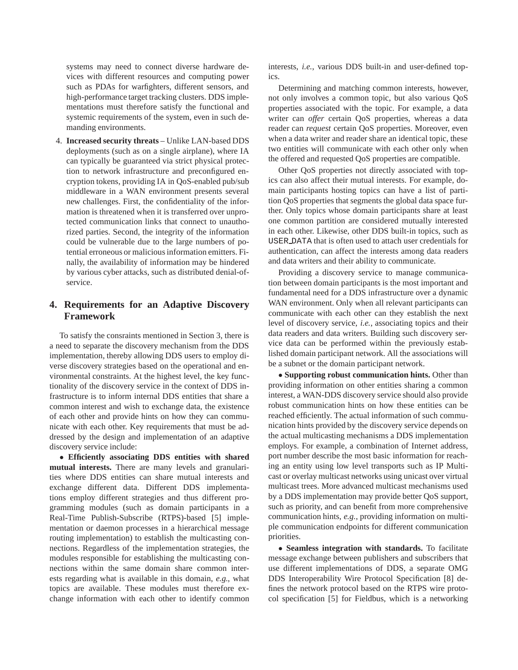systems may need to connect diverse hardware devices with different resources and computing power such as PDAs for warfighters, different sensors, and high-performance target tracking clusters. DDS implementations must therefore satisfy the functional and systemic requirements of the system, even in such demanding environments.

4. **Increased security threats** – Unlike LAN-based DDS deployments (such as on a single airplane), where IA can typically be guaranteed via strict physical protection to network infrastructure and preconfigured encryption tokens, providing IA in QoS-enabled pub/sub middleware in a WAN environment presents several new challenges. First, the confidentiality of the information is threatened when it is transferred over unprotected communication links that connect to unauthorized parties. Second, the integrity of the information could be vulnerable due to the large numbers of potential erroneous or malicious information emitters. Finally, the availability of information may be hindered by various cyber attacks, such as distributed denial-ofservice.

## **4. Requirements for an Adaptive Discovery Framework**

To satisfy the consraints mentioned in Section 3, there is a need to separate the discovery mechanism from the DDS implementation, thereby allowing DDS users to employ diverse discovery strategies based on the operational and environmental constraints. At the highest level, the key functionality of the discovery service in the context of DDS infrastructure is to inform internal DDS entities that share a common interest and wish to exchange data, the existence of each other and provide hints on how they can communicate with each other. Key requirements that must be addressed by the design and implementation of an adaptive discovery service include:

• **Efficiently associating DDS entities with shared mutual interests.** There are many levels and granularities where DDS entities can share mutual interests and exchange different data. Different DDS implementations employ different strategies and thus different programming modules (such as domain participants in a Real-Time Publish-Subscribe (RTPS)-based [5] implementation or daemon processes in a hierarchical message routing implementation) to establish the multicasting connections. Regardless of the implementation strategies, the modules responsible for establishing the multicasting connections within the same domain share common interests regarding what is available in this domain, *e.g.*, what topics are available. These modules must therefore exchange information with each other to identify common

interests, *i.e.*, various DDS built-in and user-defined topics.

Determining and matching common interests, however, not only involves a common topic, but also various QoS properties associated with the topic. For example, a data writer can *offer* certain QoS properties, whereas a data reader can *request* certain QoS properties. Moreover, even when a data writer and reader share an identical topic, these two entities will communicate with each other only when the offered and requested QoS properties are compatible.

Other QoS properties not directly associated with topics can also affect their mutual interests. For example, domain participants hosting topics can have a list of partition QoS properties that segments the global data space further. Only topics whose domain participants share at least one common partition are considered mutually interested in each other. Likewise, other DDS built-in topics, such as USER DATA that is often used to attach user credentials for authentication, can affect the interests among data readers and data writers and their ability to communicate.

Providing a discovery service to manage communication between domain participants is the most important and fundamental need for a DDS infrastructure over a dynamic WAN environment. Only when all relevant participants can communicate with each other can they establish the next level of discovery service, *i.e.*, associating topics and their data readers and data writers. Building such discovery service data can be performed within the previously established domain participant network. All the associations will be a subnet or the domain participant network.

• **Supporting robust communication hints.** Other than providing information on other entities sharing a common interest, a WAN-DDS discovery service should also provide robust communication hints on how these entities can be reached efficiently. The actual information of such communication hints provided by the discovery service depends on the actual multicasting mechanisms a DDS implementation employs. For example, a combination of Internet address, port number describe the most basic information for reaching an entity using low level transports such as IP Multicast or overlay multicast networks using unicast over virtual multicast trees. More advanced multicast mechanisms used by a DDS implementation may provide better QoS support, such as priority, and can benefit from more comprehensive communication hints, *e.g.*, providing information on multiple communication endpoints for different communication priorities.

• **Seamless integration with standards.** To facilitate message exchange between publishers and subscribers that use different implementations of DDS, a separate OMG DDS Interoperability Wire Protocol Specification [8] defines the network protocol based on the RTPS wire protocol specification [5] for Fieldbus, which is a networking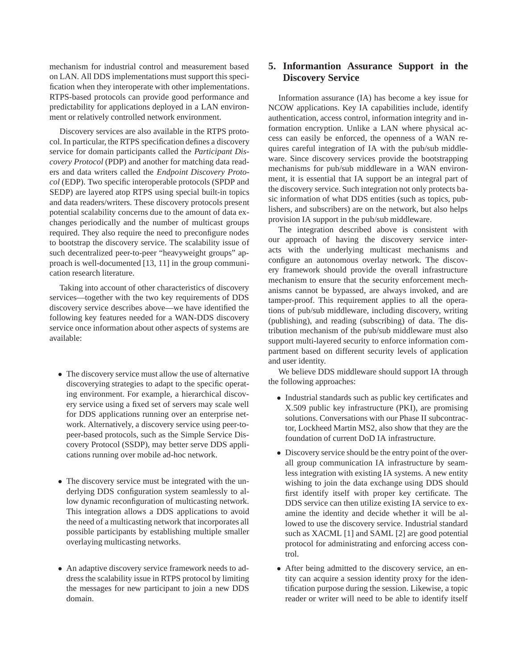mechanism for industrial control and measurement based on LAN. All DDS implementations must support this specification when they interoperate with other implementations. RTPS-based protocols can provide good performance and predictability for applications deployed in a LAN environment or relatively controlled network environment.

Discovery services are also available in the RTPS protocol. In particular, the RTPS specification defines a discovery service for domain participants called the *Participant Discovery Protocol* (PDP) and another for matching data readers and data writers called the *Endpoint Discovery Protocol* (EDP). Two specific interoperable protocols (SPDP and SEDP) are layered atop RTPS using special built-in topics and data readers/writers. These discovery protocols present potential scalability concerns due to the amount of data exchanges periodically and the number of multicast groups required. They also require the need to preconfigure nodes to bootstrap the discovery service. The scalability issue of such decentralized peer-to-peer "heavyweight groups" approach is well-documented [13, 11] in the group communication research literature.

Taking into account of other characteristics of discovery services—together with the two key requirements of DDS discovery service describes above—we have identified the following key features needed for a WAN-DDS discovery service once information about other aspects of systems are available:

- The discovery service must allow the use of alternative discoverying strategies to adapt to the specific operating environment. For example, a hierarchical discovery service using a fixed set of servers may scale well for DDS applications running over an enterprise network. Alternatively, a discovery service using peer-topeer-based protocols, such as the Simple Service Discovery Protocol (SSDP), may better serve DDS applications running over mobile ad-hoc network.
- The discovery service must be integrated with the underlying DDS configuration system seamlessly to allow dynamic reconfiguration of multicasting network. This integration allows a DDS applications to avoid the need of a multicasting network that incorporates all possible participants by establishing multiple smaller overlaying multicasting networks.
- An adaptive discovery service framework needs to address the scalability issue in RTPS protocol by limiting the messages for new participant to join a new DDS domain.

## **5. Informantion Assurance Support in the Discovery Service**

Information assurance (IA) has become a key issue for NCOW applications. Key IA capabilities include, identify authentication, access control, information integrity and information encryption. Unlike a LAN where physical access can easily be enforced, the openness of a WAN requires careful integration of IA with the pub/sub middleware. Since discovery services provide the bootstrapping mechanisms for pub/sub middleware in a WAN environment, it is essential that IA support be an integral part of the discovery service. Such integration not only protects basic information of what DDS entities (such as topics, publishers, and subscribers) are on the network, but also helps provision IA support in the pub/sub middleware.

The integration described above is consistent with our approach of having the discovery service interacts with the underlying multicast mechanisms and configure an autonomous overlay network. The discovery framework should provide the overall infrastructure mechanism to ensure that the security enforcement mechanisms cannot be bypassed, are always invoked, and are tamper-proof. This requirement applies to all the operations of pub/sub middleware, including discovery, writing (publishing), and reading (subscribing) of data. The distribution mechanism of the pub/sub middleware must also support multi-layered security to enforce information compartment based on different security levels of application and user identity.

We believe DDS middleware should support IA through the following approaches:

- Industrial standards such as public key certificates and X.509 public key infrastructure (PKI), are promising solutions. Conversations with our Phase II subcontractor, Lockheed Martin MS2, also show that they are the foundation of current DoD IA infrastructure.
- Discovery service should be the entry point of the overall group communication IA infrastructure by seamless integration with existing IA systems. A new entity wishing to join the data exchange using DDS should first identify itself with proper key certificate. The DDS service can then utilize existing IA service to examine the identity and decide whether it will be allowed to use the discovery service. Industrial standard such as XACML [1] and SAML [2] are good potential protocol for administrating and enforcing access control.
- After being admitted to the discovery service, an entity can acquire a session identity proxy for the identification purpose during the session. Likewise, a topic reader or writer will need to be able to identify itself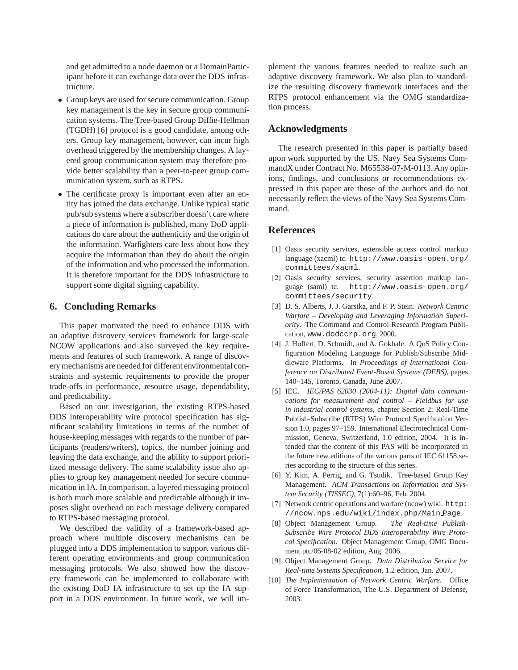and get admitted to a node daemon or a DomainParticipant before it can exchange data over the DDS infrastructure.

- Group keys are used for secure communication. Group key management is the key in secure group communication systems. The Tree-based Group Diffie-Hellman (TGDH) [6] protocol is a good candidate, among others. Group key management, however, can incur high overhead triggered by the membership changes. A layered group communication system may therefore provide better scalability than a peer-to-peer group communication system, such as RTPS.
- The certificate proxy is important even after an entity has joined the data exchange. Unlike typical static pub/sub systems where a subscriber doesn't care where a piece of information is published, many DoD applications do care about the authenticity and the origin of the information. Warfighters care less about how they acquire the information than they do about the origin of the information and who processed the information. It is therefore important for the DDS infrastructure to support some digital signing capability.

#### **6. Concluding Remarks**

This paper motivated the need to enhance DDS with an adaptive discovery services framework for large-scale NCOW applications and also surveyed the key requirements and features of such framework. A range of discovery mechanisms are needed for different environmental constraints and systemic requirements to provide the proper trade-offs in performance, resource usage, dependability, and predictability.

Based on our investigation, the existing RTPS-based DDS interoperability wire protocol specification has significant scalability limitations in terms of the number of house-keeping messages with regards to the number of participants (readers/writers), topics, the number joining and leaving the data exchange, and the ability to support prioritized message delivery. The same scalability issue also applies to group key management needed for secure communication in IA. In comparison, a layered messaging protocol is both much more scalable and predictable although it imposes slight overhead on each message delivery compared to RTPS-based messaging protocol.

We described the validity of a framework-based approach where multiple discovery mechanisms can be plugged into a DDS implementation to support various different operating environments and group communication messaging protocols. We also showed how the discovery framework can be implemented to collaborate with the existing DoD IA infrastructure to set up the IA support in a DDS environment. In future work, we will implement the various features needed to realize such an adaptive discovery framework. We also plan to standardize the resulting discovery framework interfaces and the RTPS protocol enhancement via the OMG standardization process.

#### **Acknowledgments**

The research presented in this paper is partially based upon work supported by the US. Navy Sea Systems CommandX under Contract No. M65538-07-M-0113.Any opinions, findings, and conclusions or recommendations expressed in this paper are those of the authors and do not necessarily reflect the views of the Navy Sea Systems Command.

#### **References**

- [1] Oasis security services, extensible access control markup language (xacml) tc. http://www.oasis-open.org/ committees/xacml.
- [2] Oasis security services, security assertion markup language (saml) tc. http://www.oasis-open.org/ committees/security.
- [3] D. S. Alberts, J. J. Garstka, and F. P. Stein. *Network Centric Warfare – Developing and Leveraging Information Superiority*. The Command and Control Research Program Publication, www.dodccrp.org, 2000.
- [4] J. Hoffert, D. Schmidt, and A. Gokhale. A QoS Policy Configuration Modeling Language for Publish/Subscribe Middleware Platforms. In *Proceedings of International Conference on Distributed Event-Based Systems (DEBS)*, pages 140–145, Toronto, Canada, June 2007.
- [5] IEC. *IEC/PAS 62030 (2004-11): Digital data communications for measurement and control – Fieldbus for use in industrial control systems*, chapter Section 2: Real-Time Publish-Subscribe (RTPS) Wire Protocol Specification Version 1.0, pages 97–159. International Electrotechnical Commission, Geneva, Switzerland, 1.0 edition, 2004. It is intended that the content of this PAS will be incorporated in the future new editions of the various parts of IEC 61158 series according to the structure of this series.
- [6] Y. Kim, A. Perrig, and G. Tsudik. Tree-based Group Key Management. *ACM Transactions on Information and System Security (TISSEC)*, 7(1):60–96, Feb. 2004.
- [7] Network centric operations and warfare (ncow) wiki. http: //ncow.nps.edu/wiki/index.php/Main Page.
- [8] Object Management Group. *The Real-time Publish-Subscribe Wire Protocol DDS Interoperability Wire Protocol Specification*. Object Management Group, OMG Document ptc/06-08-02 edition, Aug. 2006.
- [9] Object Management Group. *Data Distribution Service for Real-time Systems Specification*, 1.2 edition, Jan. 2007.
- [10] *The Implementation of Network Centric Warfare*. Office of Force Transformation, The U.S. Department of Defense, 2003.